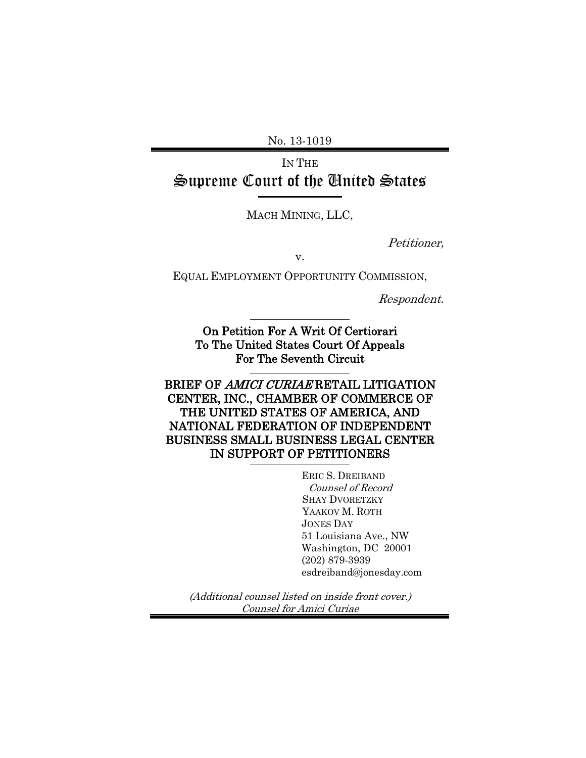No. 13-1019

IN THE Supreme Court of the United States

MACH MINING, LLC,

Petitioner,

v.

EQUAL EMPLOYMENT OPPORTUNITY COMMISSION,

Respondent.

On Petition For A Writ Of Certiorari To The United States Court Of Appeals For The Seventh Circuit

BRIEF OF AMICI CURIAE RETAIL LITIGATION CENTER, INC., CHAMBER OF COMMERCE OF THE UNITED STATES OF AMERICA, AND NATIONAL FEDERATION OF INDEPENDENT BUSINESS SMALL BUSINESS LEGAL CENTER IN SUPPORT OF PETITIONERS

> ERIC S. DREIBAND Counsel of Record SHAY DVORETZKY YAAKOV M. ROTH JONES DAY 51 Louisiana Ave., NW Washington, DC 20001 (202) 879-3939 esdreiband@jonesday.com

(Additional counsel listed on inside front cover.) Counsel for Amici Curiae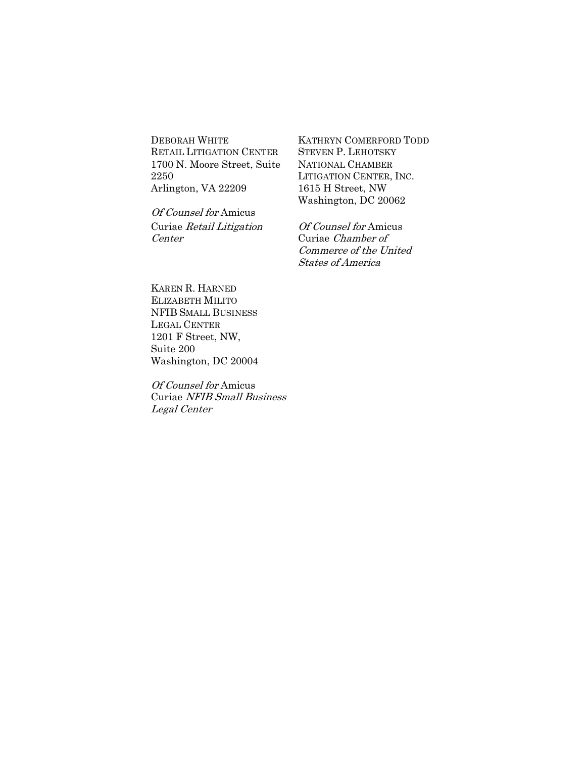DEBORAH WHITE RETAIL LITIGATION CENTER 1700 N. Moore Street, Suite 2250 Arlington, VA 22209

Of Counsel for Amicus Curiae Retail Litigation Center

KATHRYN COMERFORD TODD STEVEN P. LEHOTSKY NATIONAL CHAMBER LITIGATION CENTER, INC. 1615 H Street, NW Washington, DC 20062

Of Counsel for Amicus Curiae Chamber of Commerce of the United States of America

KAREN R. HARNED ELIZABETH MILITO NFIB SMALL BUSINESS LEGAL CENTER 1201 F Street, NW, Suite 200 Washington, DC 20004

Of Counsel for Amicus Curiae NFIB Small Business Legal Center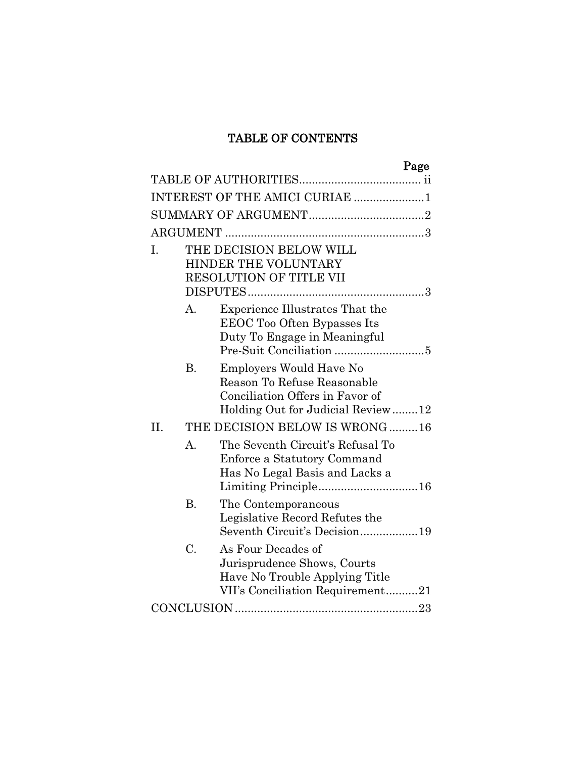## TABLE OF CONTENTS

|                 | Page                                                                                                                                  |
|-----------------|---------------------------------------------------------------------------------------------------------------------------------------|
|                 |                                                                                                                                       |
|                 | INTEREST OF THE AMICI CURIAE 1                                                                                                        |
|                 |                                                                                                                                       |
|                 |                                                                                                                                       |
| I.              | THE DECISION BELOW WILL<br>HINDER THE VOLUNTARY<br>RESOLUTION OF TITLE VII                                                            |
| А.              | Experience Illustrates That the<br>EEOC Too Often Bypasses Its<br>Duty To Engage in Meaningful                                        |
| <b>B.</b>       | <b>Employers Would Have No</b><br>Reason To Refuse Reasonable<br>Conciliation Offers in Favor of<br>Holding Out for Judicial Review12 |
| H.              | THE DECISION BELOW IS WRONG 16                                                                                                        |
| $\mathbf{A}$ .  | The Seventh Circuit's Refusal To<br>Enforce a Statutory Command<br>Has No Legal Basis and Lacks a                                     |
| <b>B.</b>       | The Contemporaneous<br>Legislative Record Refutes the<br>Seventh Circuit's Decision19                                                 |
| $\mathcal{C}$ . | As Four Decades of<br>Jurisprudence Shows, Courts<br>Have No Trouble Applying Title<br>VII's Conciliation Requirement21               |
|                 |                                                                                                                                       |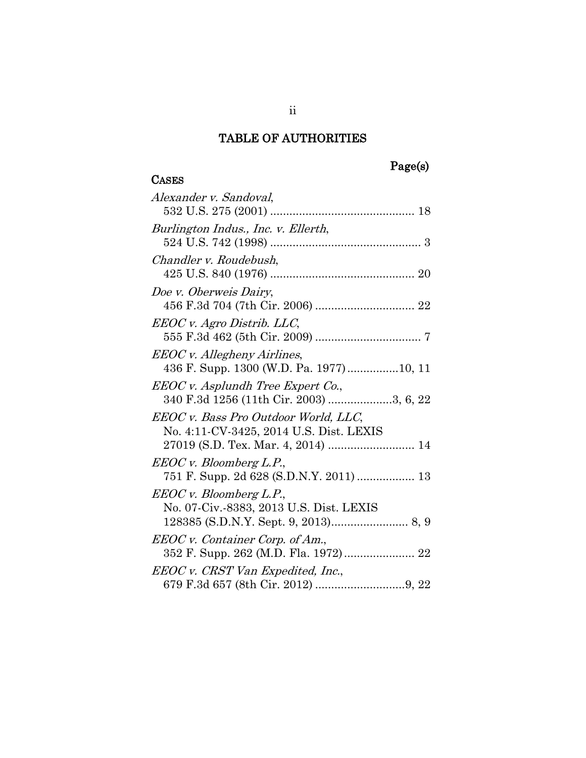## Page(s)

## **CASES**

| Alexander v. Sandoval,                                                                                                |
|-----------------------------------------------------------------------------------------------------------------------|
| Burlington Indus., Inc. v. Ellerth,                                                                                   |
| Chandler v. Roudebush,                                                                                                |
| Doe v. Oberweis Dairy,                                                                                                |
| EEOC v. Agro Distrib. LLC,                                                                                            |
| EEOC v. Allegheny Airlines,<br>436 F. Supp. 1300 (W.D. Pa. 1977)10, 11                                                |
| EEOC v. Asplundh Tree Expert Co.,<br>340 F.3d 1256 (11th Cir. 2003) 3, 6, 22                                          |
| EEOC v. Bass Pro Outdoor World, LLC,<br>No. 4:11-CV-3425, 2014 U.S. Dist. LEXIS<br>27019 (S.D. Tex. Mar. 4, 2014)  14 |
| <i>EEOC v. Bloomberg L.P.</i> ,<br>751 F. Supp. 2d 628 (S.D.N.Y. 2011)  13                                            |
| EEOC v. Bloomberg L.P.,<br>No. 07-Civ.-8383, 2013 U.S. Dist. LEXIS                                                    |
| EEOC v. Container Corp. of Am.,                                                                                       |
| EEOC v. CRST Van Expedited, Inc.,                                                                                     |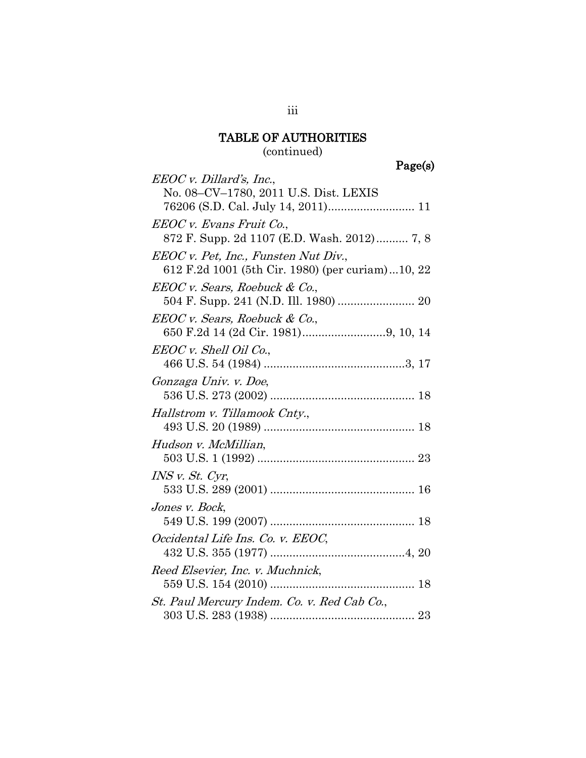(continued)

Page(s)

| EEOC v. Dillard's, Inc.,                         |  |
|--------------------------------------------------|--|
| No. 08-CV-1780, 2011 U.S. Dist. LEXIS            |  |
|                                                  |  |
| EEOC v. Evans Fruit Co.,                         |  |
| 872 F. Supp. 2d 1107 (E.D. Wash. 2012) 7, 8      |  |
| EEOC v. Pet, Inc., Funsten Nut Div.,             |  |
| 612 F.2d 1001 (5th Cir. 1980) (per curiam)10, 22 |  |
| EEOC v. Sears, Roebuck & Co.,                    |  |
| 504 F. Supp. 241 (N.D. Ill. 1980)  20            |  |
| EEOC v. Sears, Roebuck & Co.,                    |  |
|                                                  |  |
| EEOC v. Shell Oil Co.,                           |  |
|                                                  |  |
| Gonzaga Univ. v. Doe,                            |  |
|                                                  |  |
| Hallstrom v. Tillamook Cnty.,                    |  |
|                                                  |  |
| Hudson v. McMillian,                             |  |
|                                                  |  |
| INS v. St. Cyr,                                  |  |
|                                                  |  |
| Jones v. Bock,                                   |  |
|                                                  |  |
| Occidental Life Ins. Co. v. EEOC,                |  |
|                                                  |  |
| Reed Elsevier, Inc. v. Muchnick,                 |  |
|                                                  |  |
| St. Paul Mercury Indem. Co. v. Red Cab Co.,      |  |
|                                                  |  |

iii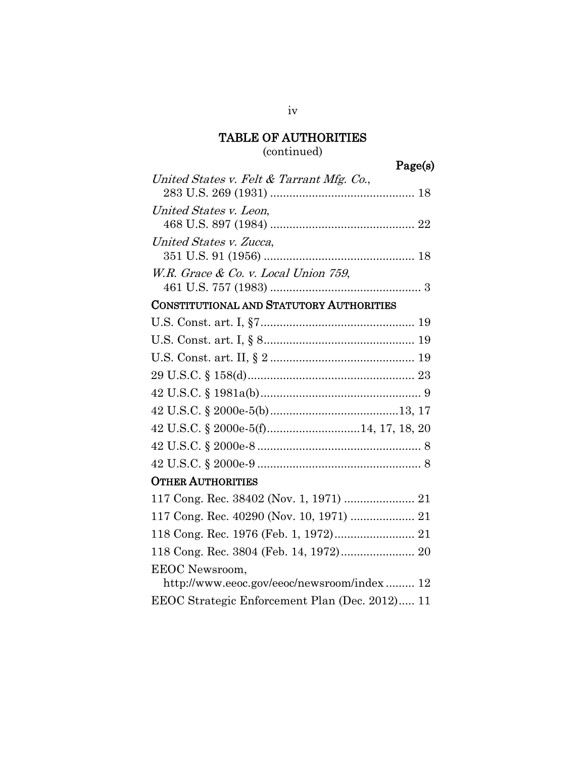### (continued)

| United States v. Felt & Tarrant Mfg. Co., |  |
|-------------------------------------------|--|
| United States v. Leon,                    |  |
| United States v. Zucca,                   |  |
| W.R. Grace $\&$ Co. v. Local Union 759,   |  |

## CONSTITUTIONAL AND STATUTORY AUTHORITIES

## OTHER AUTHORITIES

| 117 Cong. Rec. 40290 (Nov. 10, 1971)  21       |  |
|------------------------------------------------|--|
|                                                |  |
| 118 Cong. Rec. 3804 (Feb. 14, 1972) 20         |  |
| <b>EEOC</b> Newsroom,                          |  |
| http://www.eeoc.gov/eeoc/newsroom/index 12     |  |
| EEOC Strategic Enforcement Plan (Dec. 2012) 11 |  |
|                                                |  |

iv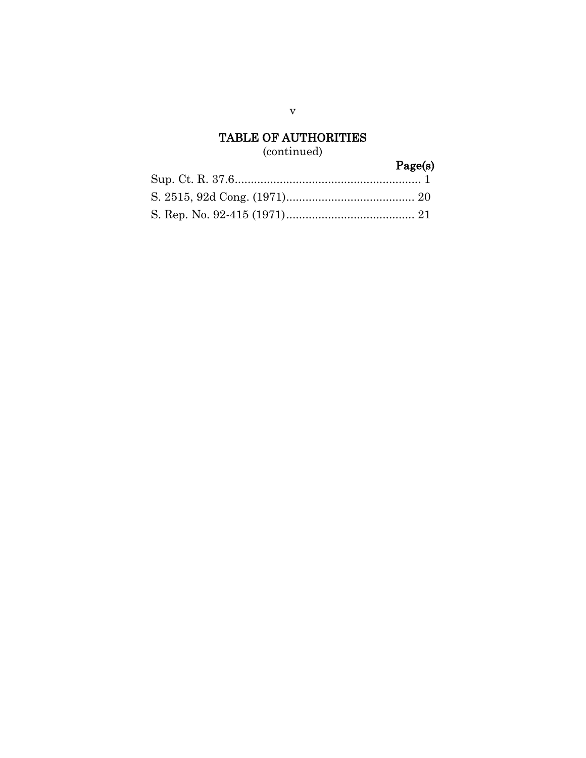## (continued)

# Page(s)

v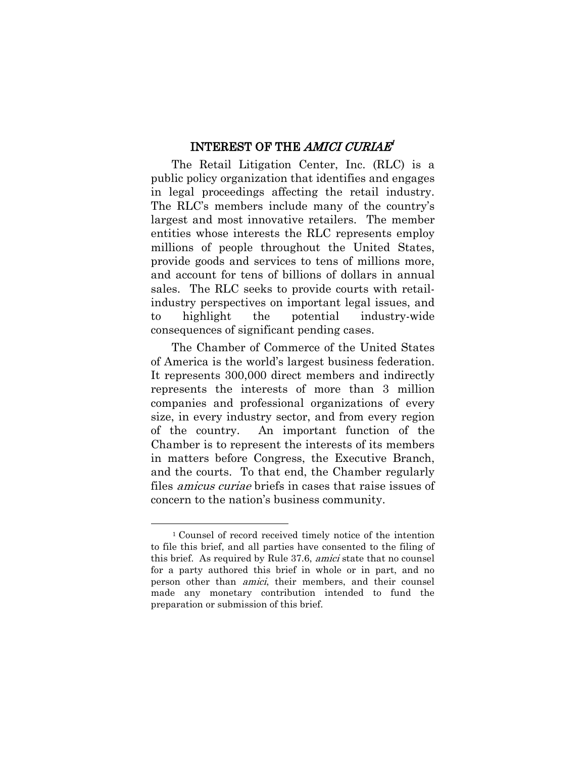#### INTEREST OF THE AMICI CURIAE*[1](#page-7-1)*

The Retail Litigation Center, Inc. (RLC) is a public policy organization that identifies and engages in legal proceedings affecting the retail industry. The RLC's members include many of the country's largest and most innovative retailers. The member entities whose interests the RLC represents employ millions of people throughout the United States, provide goods and services to tens of millions more, and account for tens of billions of dollars in annual sales. The RLC seeks to provide courts with retailindustry perspectives on important legal issues, and to highlight the potential industry-wide consequences of significant pending cases.

The Chamber of Commerce of the United States of America is the world's largest business federation. It represents 300,000 direct members and indirectly represents the interests of more than 3 million companies and professional organizations of every size, in every industry sector, and from every region of the country. An important function of the Chamber is to represent the interests of its members in matters before Congress, the Executive Branch, and the courts. To that end, the Chamber regularly files amicus curiae briefs in cases that raise issues of concern to the nation's business community.

 $\overline{a}$ 

<span id="page-7-1"></span><span id="page-7-0"></span><sup>1</sup> Counsel of record received timely notice of the intention to file this brief, and all parties have consented to the filing of this brief. As required by Rule 37.6, amici state that no counsel for a party authored this brief in whole or in part, and no person other than amici, their members, and their counsel made any monetary contribution intended to fund the preparation or submission of this brief.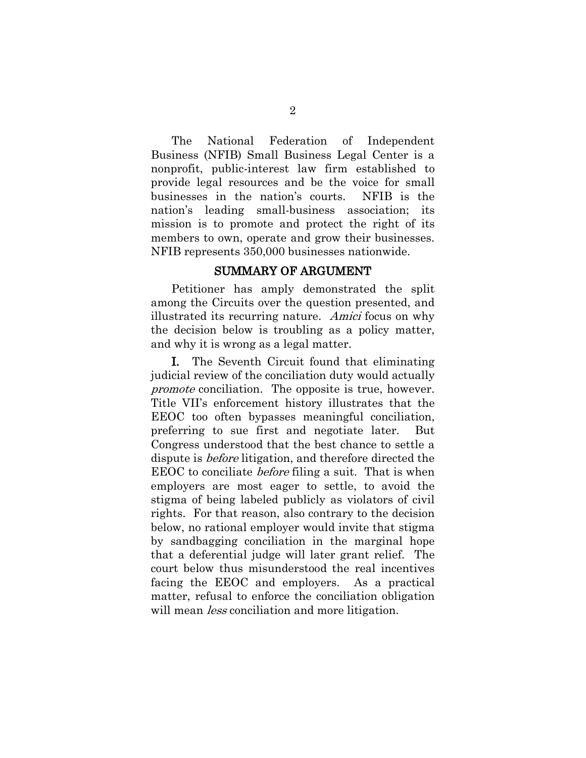The National Federation of Independent Business (NFIB) Small Business Legal Center is a nonprofit, public-interest law firm established to provide legal resources and be the voice for small businesses in the nation's courts. NFIB is the nation's leading small-business association; its mission is to promote and protect the right of its members to own, operate and grow their businesses. NFIB represents 350,000 businesses nationwide.

#### SUMMARY OF ARGUMENT

Petitioner has amply demonstrated the split among the Circuits over the question presented, and illustrated its recurring nature. Amici focus on why the decision below is troubling as a policy matter, and why it is wrong as a legal matter.

I. The Seventh Circuit found that eliminating judicial review of the conciliation duty would actually promote conciliation. The opposite is true, however. Title VII's enforcement history illustrates that the EEOC too often bypasses meaningful conciliation, preferring to sue first and negotiate later. But Congress understood that the best chance to settle a dispute is before litigation, and therefore directed the EEOC to conciliate *before* filing a suit. That is when employers are most eager to settle, to avoid the stigma of being labeled publicly as violators of civil rights. For that reason, also contrary to the decision below, no rational employer would invite that stigma by sandbagging conciliation in the marginal hope that a deferential judge will later grant relief. The court below thus misunderstood the real incentives facing the EEOC and employers. As a practical matter, refusal to enforce the conciliation obligation will mean *less* conciliation and more litigation.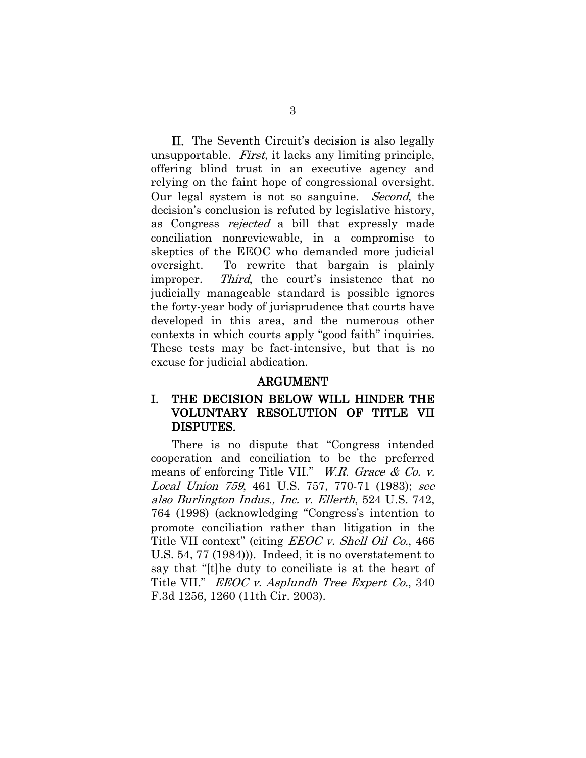II. The Seventh Circuit's decision is also legally unsupportable. First, it lacks any limiting principle, offering blind trust in an executive agency and relying on the faint hope of congressional oversight. Our legal system is not so sanguine. Second, the decision's conclusion is refuted by legislative history, as Congress rejected a bill that expressly made conciliation nonreviewable, in a compromise to skeptics of the EEOC who demanded more judicial oversight. To rewrite that bargain is plainly improper. Third, the court's insistence that no judicially manageable standard is possible ignores the forty-year body of jurisprudence that courts have developed in this area, and the numerous other contexts in which courts apply "good faith" inquiries. These tests may be fact-intensive, but that is no excuse for judicial abdication.

#### <span id="page-9-2"></span>ARGUMENT

#### I. THE DECISION BELOW WILL HINDER THE VOLUNTARY RESOLUTION OF TITLE VII DISPUTES.

<span id="page-9-1"></span><span id="page-9-0"></span>There is no dispute that "Congress intended cooperation and conciliation to be the preferred means of enforcing Title VII." W.R. Grace & Co. v. Local Union 759, 461 U.S. 757, 770-71 (1983); see also Burlington Indus., Inc. v. Ellerth, 524 U.S. 742, 764 (1998) (acknowledging "Congress's intention to promote conciliation rather than litigation in the Title VII context" (citing *EEOC v. Shell Oil Co.*, 466 U.S. 54, 77 (1984))). Indeed, it is no overstatement to say that "[t]he duty to conciliate is at the heart of Title VII." *EEOC v. Asplundh Tree Expert Co.*, 340 F.3d 1256, 1260 (11th Cir. 2003).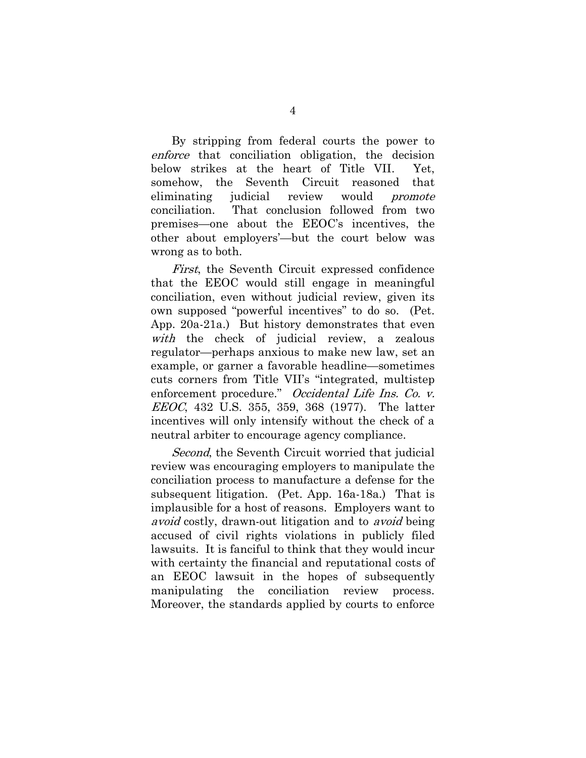By stripping from federal courts the power to enforce that conciliation obligation, the decision below strikes at the heart of Title VII. Yet, somehow, the Seventh Circuit reasoned that eliminating judicial review would *promote* conciliation. That conclusion followed from two premises—one about the EEOC's incentives, the other about employers'—but the court below was wrong as to both.

First, the Seventh Circuit expressed confidence that the EEOC would still engage in meaningful conciliation, even without judicial review, given its own supposed "powerful incentives" to do so. (Pet. App. 20a-21a.) But history demonstrates that even with the check of judicial review, a zealous regulator—perhaps anxious to make new law, set an example, or garner a favorable headline—sometimes cuts corners from Title VII's "integrated, multistep enforcement procedure." Occidental Life Ins. Co. v. EEOC, 432 U.S. 355, 359, 368 (1977). The latter incentives will only intensify without the check of a neutral arbiter to encourage agency compliance.

<span id="page-10-0"></span>Second, the Seventh Circuit worried that judicial review was encouraging employers to manipulate the conciliation process to manufacture a defense for the subsequent litigation. (Pet. App. 16a-18a.) That is implausible for a host of reasons. Employers want to avoid costly, drawn-out litigation and to avoid being accused of civil rights violations in publicly filed lawsuits. It is fanciful to think that they would incur with certainty the financial and reputational costs of an EEOC lawsuit in the hopes of subsequently manipulating the conciliation review process. Moreover, the standards applied by courts to enforce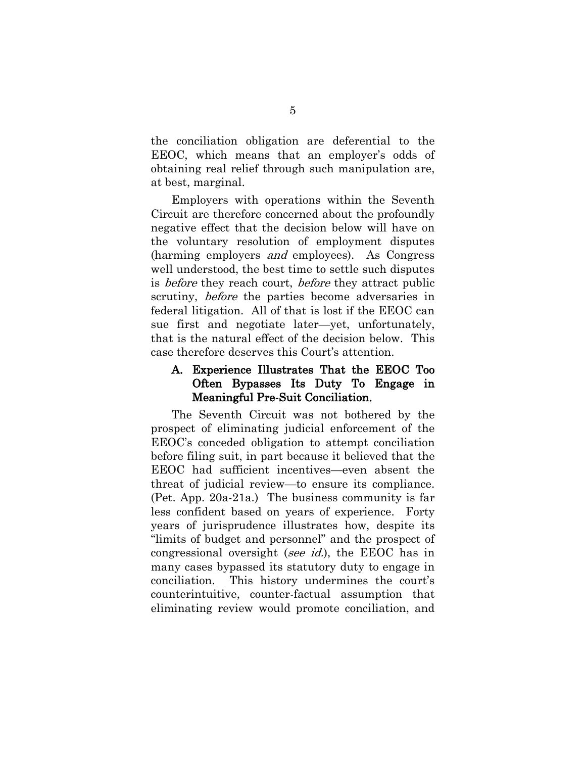the conciliation obligation are deferential to the EEOC, which means that an employer's odds of obtaining real relief through such manipulation are, at best, marginal.

Employers with operations within the Seventh Circuit are therefore concerned about the profoundly negative effect that the decision below will have on the voluntary resolution of employment disputes (harming employers and employees). As Congress well understood, the best time to settle such disputes is *before* they reach court, *before* they attract public scrutiny, before the parties become adversaries in federal litigation. All of that is lost if the EEOC can sue first and negotiate later—yet, unfortunately, that is the natural effect of the decision below. This case therefore deserves this Court's attention.

#### A. Experience Illustrates That the EEOC Too Often Bypasses Its Duty To Engage in Meaningful Pre-Suit Conciliation.

The Seventh Circuit was not bothered by the prospect of eliminating judicial enforcement of the EEOC's conceded obligation to attempt conciliation before filing suit, in part because it believed that the EEOC had sufficient incentives—even absent the threat of judicial review—to ensure its compliance. (Pet. App. 20a-21a.) The business community is far less confident based on years of experience. Forty years of jurisprudence illustrates how, despite its "limits of budget and personnel" and the prospect of congressional oversight (see id.), the EEOC has in many cases bypassed its statutory duty to engage in conciliation. This history undermines the court's counterintuitive, counter-factual assumption that eliminating review would promote conciliation, and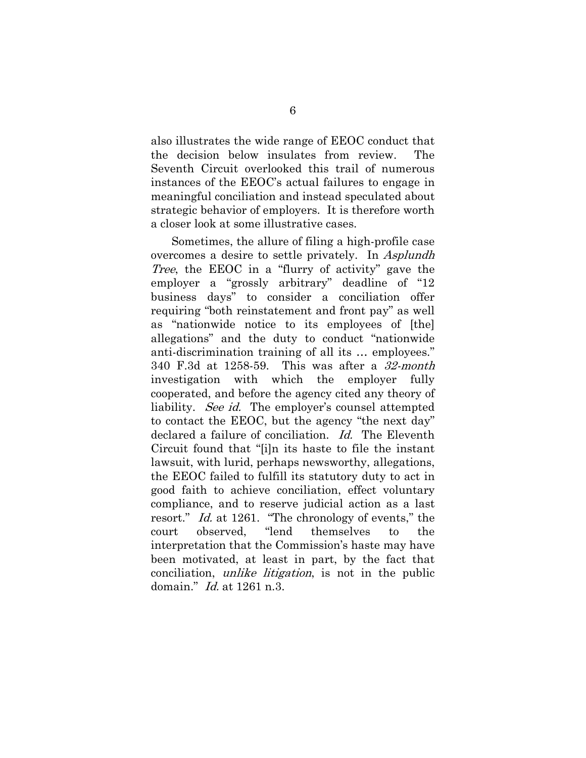also illustrates the wide range of EEOC conduct that the decision below insulates from review. The Seventh Circuit overlooked this trail of numerous instances of the EEOC's actual failures to engage in meaningful conciliation and instead speculated about strategic behavior of employers. It is therefore worth a closer look at some illustrative cases.

<span id="page-12-0"></span>Sometimes, the allure of filing a high-profile case overcomes a desire to settle privately. In Asplundh Tree, the EEOC in a "flurry of activity" gave the employer a "grossly arbitrary" deadline of "12 business days" to consider a conciliation offer requiring "both reinstatement and front pay" as well as "nationwide notice to its employees of [the] allegations" and the duty to conduct "nationwide anti-discrimination training of all its … employees." 340 F.3d at 1258-59. This was after a 32-month investigation with which the employer fully cooperated, and before the agency cited any theory of liability. *See id.* The employer's counsel attempted to contact the EEOC, but the agency "the next day" declared a failure of conciliation. Id. The Eleventh Circuit found that "[i]n its haste to file the instant lawsuit, with lurid, perhaps newsworthy, allegations, the EEOC failed to fulfill its statutory duty to act in good faith to achieve conciliation, effect voluntary compliance, and to reserve judicial action as a last resort." Id. at 1261. "The chronology of events," the court observed, "lend themselves to the interpretation that the Commission's haste may have been motivated, at least in part, by the fact that conciliation, unlike litigation, is not in the public domain." Id. at 1261 n.3.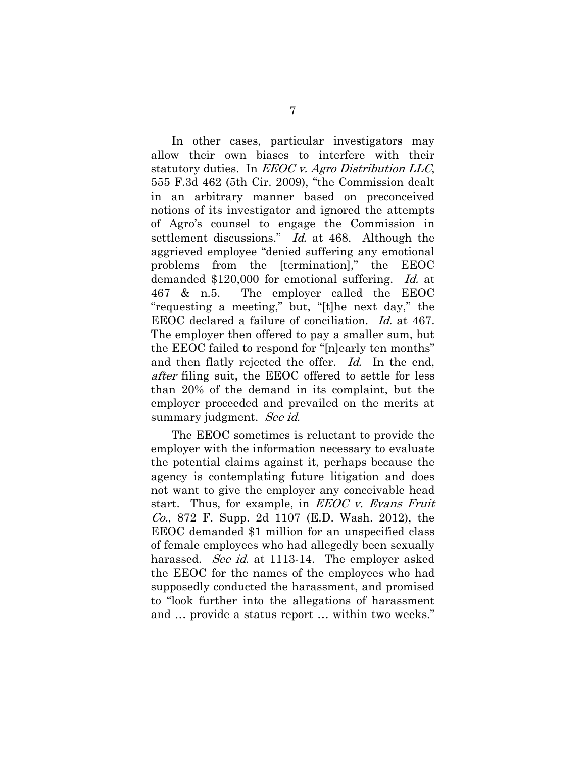<span id="page-13-0"></span>In other cases, particular investigators may allow their own biases to interfere with their statutory duties. In  $EEOC$  v. Agro Distribution LLC, 555 F.3d 462 (5th Cir. 2009), "the Commission dealt in an arbitrary manner based on preconceived notions of its investigator and ignored the attempts of Agro's counsel to engage the Commission in settlement discussions." Id. at 468. Although the aggrieved employee "denied suffering any emotional problems from the [termination]," the EEOC demanded \$120,000 for emotional suffering. Id. at 467 & n.5. The employer called the EEOC "requesting a meeting," but, "[t]he next day," the EEOC declared a failure of conciliation. Id. at 467. The employer then offered to pay a smaller sum, but the EEOC failed to respond for "[n]early ten months" and then flatly rejected the offer. Id. In the end, after filing suit, the EEOC offered to settle for less than 20% of the demand in its complaint, but the employer proceeded and prevailed on the merits at summary judgment. See id.

<span id="page-13-1"></span>The EEOC sometimes is reluctant to provide the employer with the information necessary to evaluate the potential claims against it, perhaps because the agency is contemplating future litigation and does not want to give the employer any conceivable head start. Thus, for example, in  $EEOC$  v. Evans Fruit Co., 872 F. Supp. 2d 1107 (E.D. Wash. 2012), the EEOC demanded \$1 million for an unspecified class of female employees who had allegedly been sexually harassed. *See id.* at 1113-14. The employer asked the EEOC for the names of the employees who had supposedly conducted the harassment, and promised to "look further into the allegations of harassment and … provide a status report … within two weeks."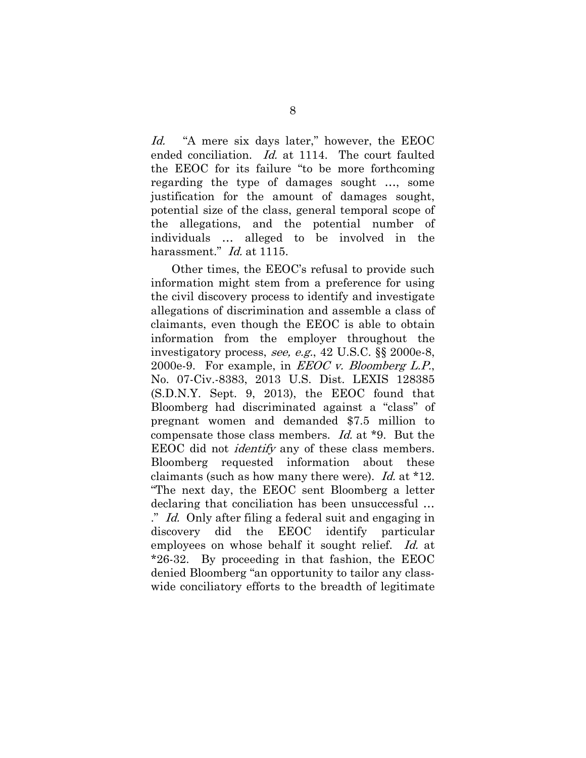<span id="page-14-1"></span>Id. "A mere six days later," however, the EEOC ended conciliation. Id. at 1114. The court faulted the EEOC for its failure "to be more forthcoming regarding the type of damages sought …, some justification for the amount of damages sought, potential size of the class, general temporal scope of the allegations, and the potential number of individuals … alleged to be involved in the harassment." *Id.* at 1115.

<span id="page-14-2"></span><span id="page-14-0"></span>Other times, the EEOC's refusal to provide such information might stem from a preference for using the civil discovery process to identify and investigate allegations of discrimination and assemble a class of claimants, even though the EEOC is able to obtain information from the employer throughout the investigatory process, see, e.g., 42 U.S.C. §§ 2000e-8, 2000e-9. For example, in  $EEOC$  v. Bloomberg L.P., No. 07-Civ.-8383, 2013 U.S. Dist. LEXIS 128385 (S.D.N.Y. Sept. 9, 2013), the EEOC found that Bloomberg had discriminated against a "class" of pregnant women and demanded \$7.5 million to compensate those class members. Id. at \*9. But the EEOC did not identify any of these class members. Bloomberg requested information about these claimants (such as how many there were). Id. at \*12. "The next day, the EEOC sent Bloomberg a letter declaring that conciliation has been unsuccessful … ." Id. Only after filing a federal suit and engaging in discovery did the EEOC identify particular employees on whose behalf it sought relief. Id. at \*26-32. By proceeding in that fashion, the EEOC denied Bloomberg "an opportunity to tailor any classwide conciliatory efforts to the breadth of legitimate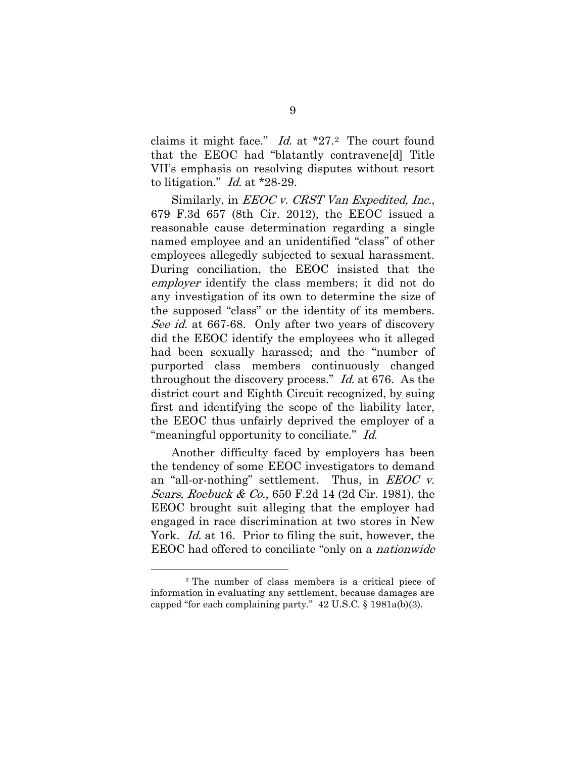<span id="page-15-0"></span>claims it might face."  $Id.$  at  $*27.2$  $*27.2$  $*27.2$  The court found that the EEOC had "blatantly contravene[d] Title VII's emphasis on resolving disputes without resort to litigation." Id. at \*28-29.

<span id="page-15-1"></span>Similarly, in *EEOC v. CRST Van Expedited, Inc.*, 679 F.3d 657 (8th Cir. 2012), the EEOC issued a reasonable cause determination regarding a single named employee and an unidentified "class" of other employees allegedly subjected to sexual harassment. During conciliation, the EEOC insisted that the employer identify the class members; it did not do any investigation of its own to determine the size of the supposed "class" or the identity of its members. See id. at 667-68. Only after two years of discovery did the EEOC identify the employees who it alleged had been sexually harassed; and the "number of purported class members continuously changed throughout the discovery process." Id. at 676. As the district court and Eighth Circuit recognized, by suing first and identifying the scope of the liability later, the EEOC thus unfairly deprived the employer of a "meaningful opportunity to conciliate." Id.

<span id="page-15-2"></span>Another difficulty faced by employers has been the tendency of some EEOC investigators to demand an "all-or-nothing" settlement. Thus, in  $EEOC$  v. Sears, Roebuck & Co., 650 F.2d 14 (2d Cir. 1981), the EEOC brought suit alleging that the employer had engaged in race discrimination at two stores in New York. *Id.* at 16. Prior to filing the suit, however, the EEOC had offered to conciliate "only on a nationwide

 $\overline{a}$ 

<span id="page-15-4"></span><span id="page-15-3"></span><sup>2</sup> The number of class members is a critical piece of information in evaluating any settlement, because damages are capped "for each complaining party." 42 U.S.C. § 1981a(b)(3).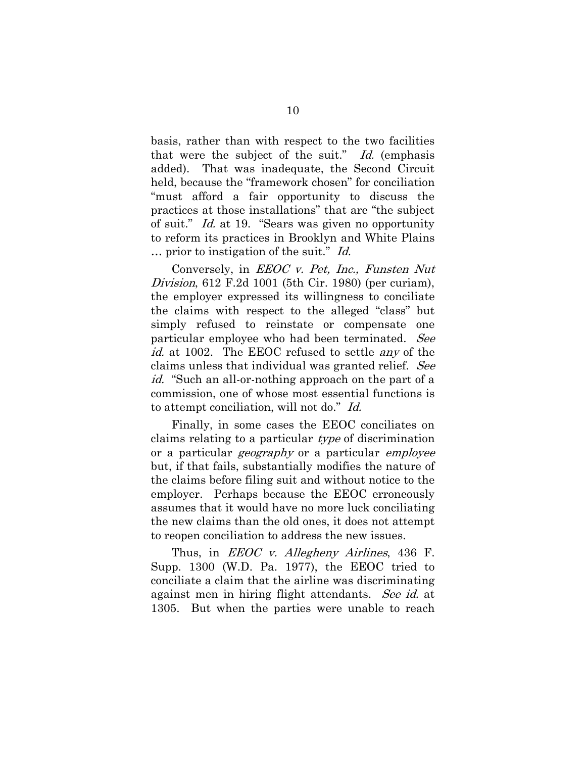<span id="page-16-2"></span>basis, rather than with respect to the two facilities that were the subject of the suit."  $Id$ . (emphasis added). That was inadequate, the Second Circuit held, because the "framework chosen" for conciliation "must afford a fair opportunity to discuss the practices at those installations" that are "the subject of suit." Id. at 19. "Sears was given no opportunity to reform its practices in Brooklyn and White Plains … prior to instigation of the suit." Id.

<span id="page-16-1"></span>Conversely, in EEOC v. Pet, Inc., Funsten Nut Division, 612 F.2d 1001 (5th Cir. 1980) (per curiam), the employer expressed its willingness to conciliate the claims with respect to the alleged "class" but simply refused to reinstate or compensate one particular employee who had been terminated. See id. at 1002. The EEOC refused to settle *any* of the claims unless that individual was granted relief. See id. "Such an all-or-nothing approach on the part of a commission, one of whose most essential functions is to attempt conciliation, will not do." Id.

Finally, in some cases the EEOC conciliates on claims relating to a particular type of discrimination or a particular *geography* or a particular *employee* but, if that fails, substantially modifies the nature of the claims before filing suit and without notice to the employer. Perhaps because the EEOC erroneously assumes that it would have no more luck conciliating the new claims than the old ones, it does not attempt to reopen conciliation to address the new issues.

<span id="page-16-0"></span>Thus, in *EEOC v. Allegheny Airlines*, 436 F. Supp. 1300 (W.D. Pa. 1977), the EEOC tried to conciliate a claim that the airline was discriminating against men in hiring flight attendants. See id. at 1305. But when the parties were unable to reach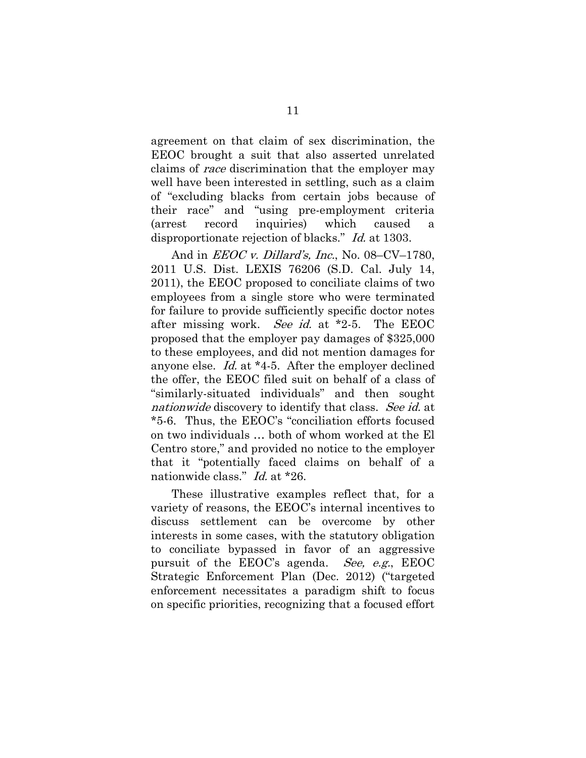agreement on that claim of sex discrimination, the EEOC brought a suit that also asserted unrelated claims of race discrimination that the employer may well have been interested in settling, such as a claim of "excluding blacks from certain jobs because of their race" and "using pre-employment criteria (arrest record inquiries) which caused a disproportionate rejection of blacks." *Id.* at 1303.

<span id="page-17-1"></span><span id="page-17-0"></span>And in *EEOC v. Dillard's, Inc.*, No. 08–CV–1780, 2011 U.S. Dist. LEXIS 76206 (S.D. Cal. July 14, 2011), the EEOC proposed to conciliate claims of two employees from a single store who were terminated for failure to provide sufficiently specific doctor notes after missing work. See id. at \*2-5. The EEOC proposed that the employer pay damages of \$325,000 to these employees, and did not mention damages for anyone else. Id. at \*4-5. After the employer declined the offer, the EEOC filed suit on behalf of a class of "similarly-situated individuals" and then sought nationwide discovery to identify that class. See id. at \*5-6. Thus, the EEOC's "conciliation efforts focused on two individuals … both of whom worked at the El Centro store," and provided no notice to the employer that it "potentially faced claims on behalf of a nationwide class." *Id.* at \*26.

These illustrative examples reflect that, for a variety of reasons, the EEOC's internal incentives to discuss settlement can be overcome by other interests in some cases, with the statutory obligation to conciliate bypassed in favor of an aggressive pursuit of the EEOC's agenda. See, e.g., EEOC Strategic Enforcement Plan (Dec. 2012) ("targeted enforcement necessitates a paradigm shift to focus on specific priorities, recognizing that a focused effort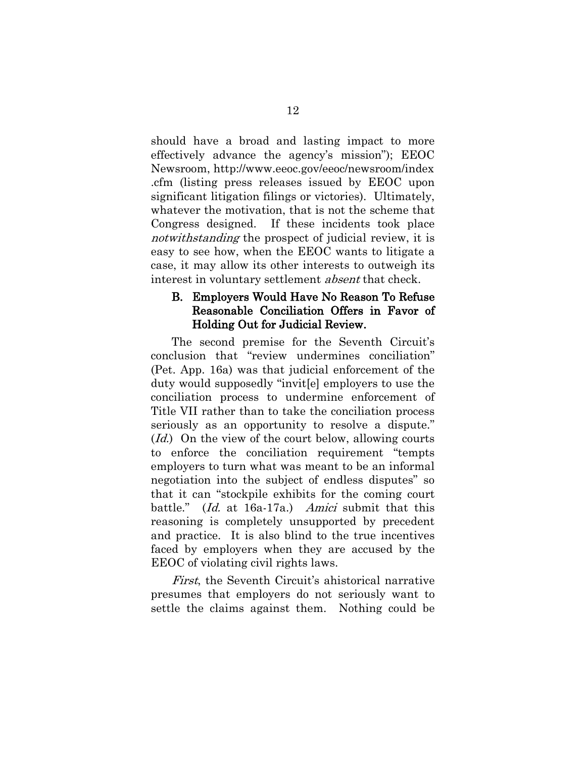<span id="page-18-0"></span>should have a broad and lasting impact to more effectively advance the agency's mission"); EEOC Newsroom, http://www.eeoc.gov/eeoc/newsroom/index .cfm (listing press releases issued by EEOC upon significant litigation filings or victories). Ultimately, whatever the motivation, that is not the scheme that Congress designed. If these incidents took place notwithstanding the prospect of judicial review, it is easy to see how, when the EEOC wants to litigate a case, it may allow its other interests to outweigh its interest in voluntary settlement *absent* that check.

#### B. Employers Would Have No Reason To Refuse Reasonable Conciliation Offers in Favor of Holding Out for Judicial Review.

The second premise for the Seventh Circuit's conclusion that "review undermines conciliation" (Pet. App. 16a) was that judicial enforcement of the duty would supposedly "invit[e] employers to use the conciliation process to undermine enforcement of Title VII rather than to take the conciliation process seriously as an opportunity to resolve a dispute." (*Id.*) On the view of the court below, allowing courts to enforce the conciliation requirement "tempts employers to turn what was meant to be an informal negotiation into the subject of endless disputes" so that it can "stockpile exhibits for the coming court battle." (Id. at 16a-17a.) Amici submit that this reasoning is completely unsupported by precedent and practice. It is also blind to the true incentives faced by employers when they are accused by the EEOC of violating civil rights laws.

First, the Seventh Circuit's ahistorical narrative presumes that employers do not seriously want to settle the claims against them. Nothing could be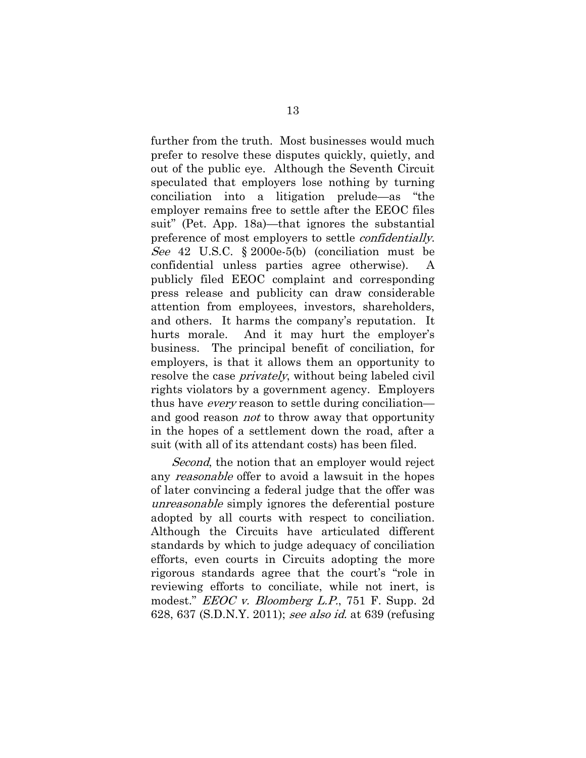<span id="page-19-1"></span>further from the truth. Most businesses would much prefer to resolve these disputes quickly, quietly, and out of the public eye. Although the Seventh Circuit speculated that employers lose nothing by turning conciliation into a litigation prelude—as "the employer remains free to settle after the EEOC files suit" (Pet. App. 18a)—that ignores the substantial preference of most employers to settle confidentially. See 42 U.S.C. § 2000e-5(b) (conciliation must be confidential unless parties agree otherwise). A publicly filed EEOC complaint and corresponding press release and publicity can draw considerable attention from employees, investors, shareholders, and others. It harms the company's reputation. It hurts morale. And it may hurt the employer's business. The principal benefit of conciliation, for employers, is that it allows them an opportunity to resolve the case *privately*, without being labeled civil rights violators by a government agency. Employers thus have *every* reason to settle during conciliation and good reason *not* to throw away that opportunity in the hopes of a settlement down the road, after a suit (with all of its attendant costs) has been filed.

<span id="page-19-0"></span>Second, the notion that an employer would reject any *reasonable* offer to avoid a lawsuit in the hopes of later convincing a federal judge that the offer was unreasonable simply ignores the deferential posture adopted by all courts with respect to conciliation. Although the Circuits have articulated different standards by which to judge adequacy of conciliation efforts, even courts in Circuits adopting the more rigorous standards agree that the court's "role in reviewing efforts to conciliate, while not inert, is modest." *EEOC v. Bloomberg L.P.*, 751 F. Supp. 2d 628, 637 (S.D.N.Y. 2011); see also id. at 639 (refusing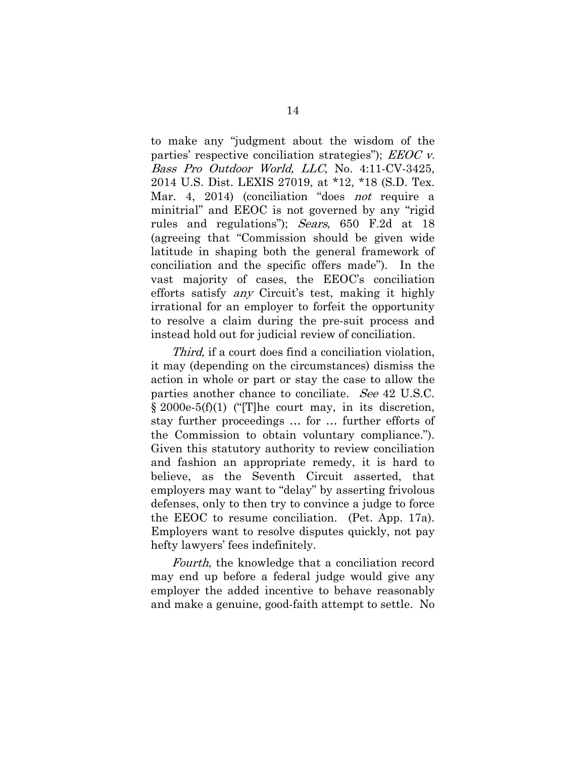<span id="page-20-1"></span><span id="page-20-0"></span>to make any "judgment about the wisdom of the parties' respective conciliation strategies");  $EEOC$  v. Bass Pro Outdoor World, LLC, No. 4:11-CV-3425, 2014 U.S. Dist. LEXIS 27019, at \*12, \*18 (S.D. Tex. Mar. 4, 2014) (conciliation "does not require a minitrial" and EEOC is not governed by any "rigid rules and regulations"); Sears, 650 F.2d at 18 (agreeing that "Commission should be given wide latitude in shaping both the general framework of conciliation and the specific offers made"). In the vast majority of cases, the EEOC's conciliation efforts satisfy any Circuit's test, making it highly irrational for an employer to forfeit the opportunity to resolve a claim during the pre-suit process and instead hold out for judicial review of conciliation.

Third, if a court does find a conciliation violation, it may (depending on the circumstances) dismiss the action in whole or part or stay the case to allow the parties another chance to conciliate. See 42 U.S.C. § 2000e-5(f)(1) ("[T]he court may, in its discretion, stay further proceedings … for … further efforts of the Commission to obtain voluntary compliance."). Given this statutory authority to review conciliation and fashion an appropriate remedy, it is hard to believe, as the Seventh Circuit asserted, that employers may want to "delay" by asserting frivolous defenses, only to then try to convince a judge to force the EEOC to resume conciliation. (Pet. App. 17a). Employers want to resolve disputes quickly, not pay hefty lawyers' fees indefinitely.

Fourth, the knowledge that a conciliation record may end up before a federal judge would give any employer the added incentive to behave reasonably and make a genuine, good-faith attempt to settle. No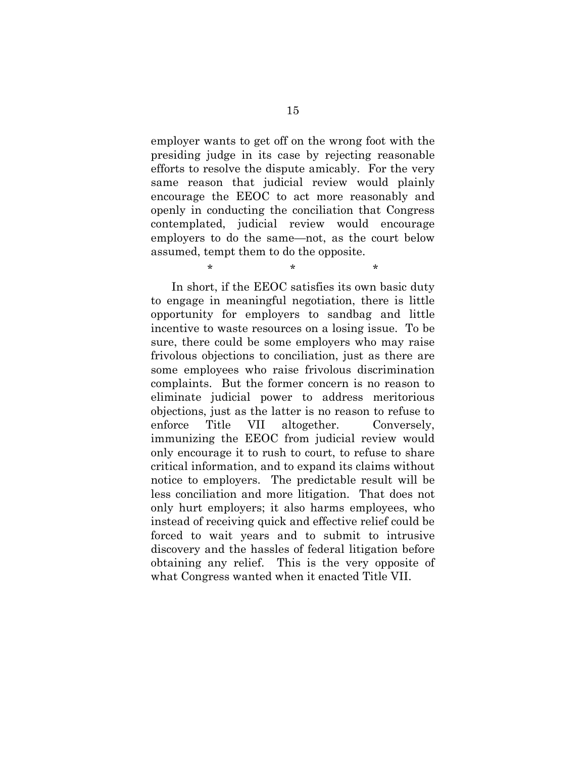employer wants to get off on the wrong foot with the presiding judge in its case by rejecting reasonable efforts to resolve the dispute amicably. For the very same reason that judicial review would plainly encourage the EEOC to act more reasonably and openly in conducting the conciliation that Congress contemplated, judicial review would encourage employers to do the same—not, as the court below assumed, tempt them to do the opposite.

 $\star$  \* \* \*

In short, if the EEOC satisfies its own basic duty to engage in meaningful negotiation, there is little opportunity for employers to sandbag and little incentive to waste resources on a losing issue. To be sure, there could be some employers who may raise frivolous objections to conciliation, just as there are some employees who raise frivolous discrimination complaints. But the former concern is no reason to eliminate judicial power to address meritorious objections, just as the latter is no reason to refuse to enforce Title VII altogether. Conversely, immunizing the EEOC from judicial review would only encourage it to rush to court, to refuse to share critical information, and to expand its claims without notice to employers. The predictable result will be less conciliation and more litigation. That does not only hurt employers; it also harms employees, who instead of receiving quick and effective relief could be forced to wait years and to submit to intrusive discovery and the hassles of federal litigation before obtaining any relief. This is the very opposite of what Congress wanted when it enacted Title VII.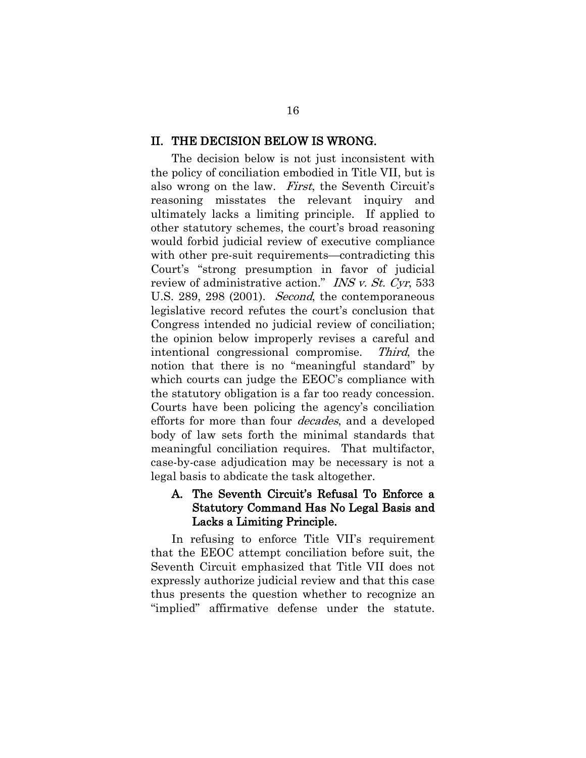#### II. THE DECISION BELOW IS WRONG.

<span id="page-22-0"></span>The decision below is not just inconsistent with the policy of conciliation embodied in Title VII, but is also wrong on the law. First, the Seventh Circuit's reasoning misstates the relevant inquiry and ultimately lacks a limiting principle. If applied to other statutory schemes, the court's broad reasoning would forbid judicial review of executive compliance with other pre-suit requirements—contradicting this Court's "strong presumption in favor of judicial review of administrative action." INS v. St. Cyr, 533 U.S. 289, 298 (2001). *Second*, the contemporaneous legislative record refutes the court's conclusion that Congress intended no judicial review of conciliation; the opinion below improperly revises a careful and intentional congressional compromise. Third, the notion that there is no "meaningful standard" by which courts can judge the EEOC's compliance with the statutory obligation is a far too ready concession. Courts have been policing the agency's conciliation efforts for more than four decades, and a developed body of law sets forth the minimal standards that meaningful conciliation requires. That multifactor, case-by-case adjudication may be necessary is not a legal basis to abdicate the task altogether.

#### A. The Seventh Circuit's Refusal To Enforce a Statutory Command Has No Legal Basis and Lacks a Limiting Principle.

In refusing to enforce Title VII's requirement that the EEOC attempt conciliation before suit, the Seventh Circuit emphasized that Title VII does not expressly authorize judicial review and that this case thus presents the question whether to recognize an "implied" affirmative defense under the statute.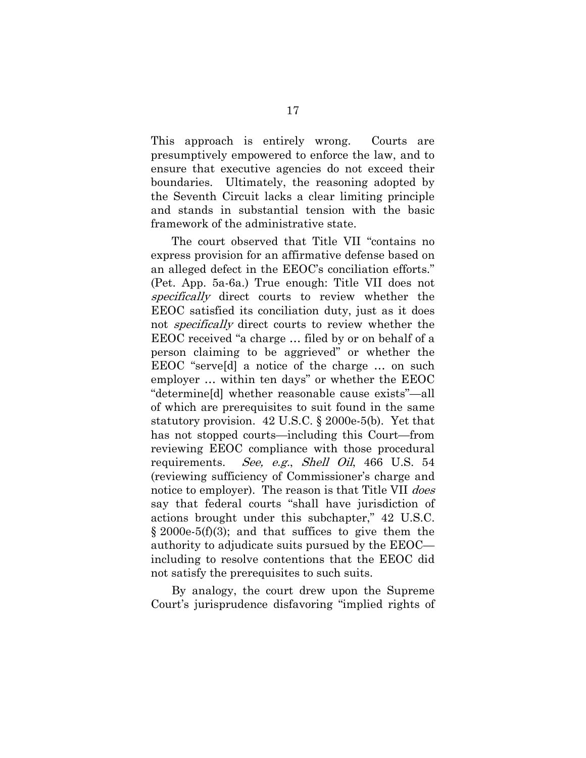This approach is entirely wrong. Courts are presumptively empowered to enforce the law, and to ensure that executive agencies do not exceed their boundaries. Ultimately, the reasoning adopted by the Seventh Circuit lacks a clear limiting principle and stands in substantial tension with the basic framework of the administrative state.

The court observed that Title VII "contains no express provision for an affirmative defense based on an alleged defect in the EEOC's conciliation efforts." (Pet. App. 5a-6a.) True enough: Title VII does not specifically direct courts to review whether the EEOC satisfied its conciliation duty, just as it does not *specifically* direct courts to review whether the EEOC received "a charge … filed by or on behalf of a person claiming to be aggrieved" or whether the EEOC "serve[d] a notice of the charge … on such employer … within ten days" or whether the EEOC "determine[d] whether reasonable cause exists"—all of which are prerequisites to suit found in the same statutory provision. 42 U.S.C. § 2000e-5(b). Yet that has not stopped courts—including this Court—from reviewing EEOC compliance with those procedural requirements. See, e.g., Shell Oil, 466 U.S. 54 (reviewing sufficiency of Commissioner's charge and notice to employer). The reason is that Title VII *does* say that federal courts "shall have jurisdiction of actions brought under this subchapter," 42 U.S.C.  $\S 2000e-5(f)(3)$ ; and that suffices to give them the authority to adjudicate suits pursued by the EEOC including to resolve contentions that the EEOC did not satisfy the prerequisites to such suits.

<span id="page-23-1"></span><span id="page-23-0"></span>By analogy, the court drew upon the Supreme Court's jurisprudence disfavoring "implied rights of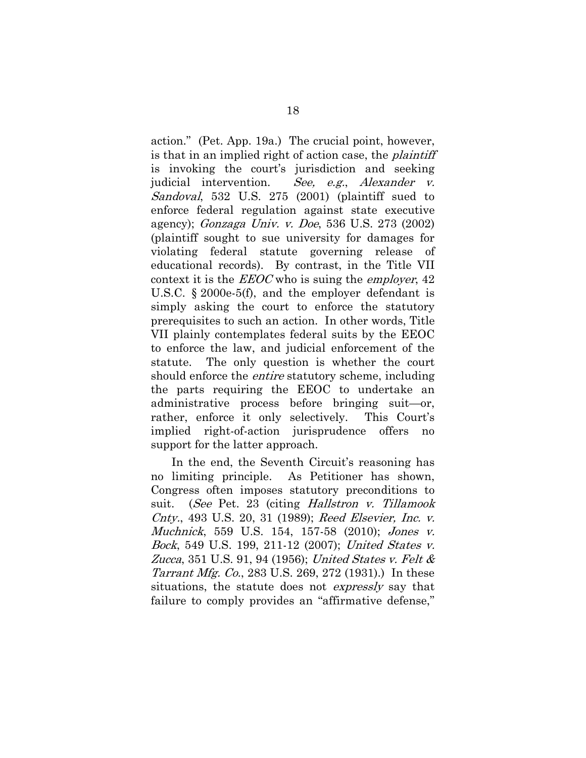<span id="page-24-2"></span><span id="page-24-1"></span><span id="page-24-0"></span>action." (Pet. App. 19a.) The crucial point, however, is that in an implied right of action case, the *plaintiff* is invoking the court's jurisdiction and seeking judicial intervention. See, e.g., Alexander v. Sandoval, 532 U.S. 275 (2001) (plaintiff sued to enforce federal regulation against state executive agency); Gonzaga Univ. v. Doe, 536 U.S. 273 (2002) (plaintiff sought to sue university for damages for violating federal statute governing release of educational records). By contrast, in the Title VII context it is the  $EEOC$  who is suing the *employer*,  $42$ U.S.C. § 2000e-5(f), and the employer defendant is simply asking the court to enforce the statutory prerequisites to such an action. In other words, Title VII plainly contemplates federal suits by the EEOC to enforce the law, and judicial enforcement of the statute. The only question is whether the court should enforce the *entire* statutory scheme, including the parts requiring the EEOC to undertake an administrative process before bringing suit—or, rather, enforce it only selectively. This Court's implied right-of-action jurisprudence offers no support for the latter approach.

In the end, the Seventh Circuit's reasoning has no limiting principle. As Petitioner has shown, Congress often imposes statutory preconditions to suit. (See Pet. 23 (citing Hallstron v. Tillamook Cnty., 493 U.S. 20, 31 (1989); Reed Elsevier, Inc. v. Muchnick, 559 U.S. 154, 157-58 (2010); Jones v. Bock, 549 U.S. 199, 211-12 (2007); United States v. Zucca, 351 U.S. 91, 94 (1956); United States v. Felt & Tarrant Mfg. Co., 283 U.S. 269, 272 (1931).) In these situations, the statute does not *expressly* say that failure to comply provides an "affirmative defense,"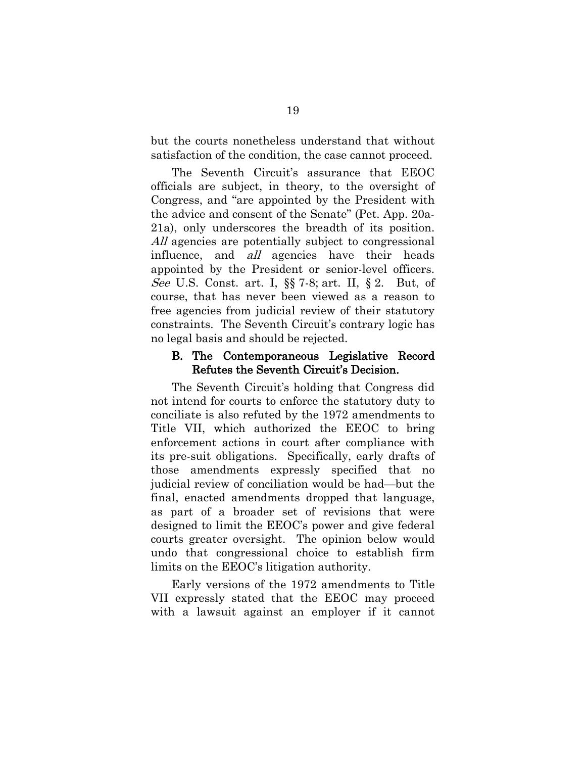but the courts nonetheless understand that without satisfaction of the condition, the case cannot proceed.

The Seventh Circuit's assurance that EEOC officials are subject, in theory, to the oversight of Congress, and "are appointed by the President with the advice and consent of the Senate" (Pet. App. 20a-21a), only underscores the breadth of its position. All agencies are potentially subject to congressional influence, and *all* agencies have their heads appointed by the President or senior-level officers. See U.S. Const. art. I, §§ 7-8; art. II, § 2. But, of course, that has never been viewed as a reason to free agencies from judicial review of their statutory constraints. The Seventh Circuit's contrary logic has no legal basis and should be rejected.

#### <span id="page-25-0"></span>B. The Contemporaneous Legislative Record Refutes the Seventh Circuit's Decision.

The Seventh Circuit's holding that Congress did not intend for courts to enforce the statutory duty to conciliate is also refuted by the 1972 amendments to Title VII, which authorized the EEOC to bring enforcement actions in court after compliance with its pre-suit obligations. Specifically, early drafts of those amendments expressly specified that no judicial review of conciliation would be had—but the final, enacted amendments dropped that language, as part of a broader set of revisions that were designed to limit the EEOC's power and give federal courts greater oversight. The opinion below would undo that congressional choice to establish firm limits on the EEOC's litigation authority.

Early versions of the 1972 amendments to Title VII expressly stated that the EEOC may proceed with a lawsuit against an employer if it cannot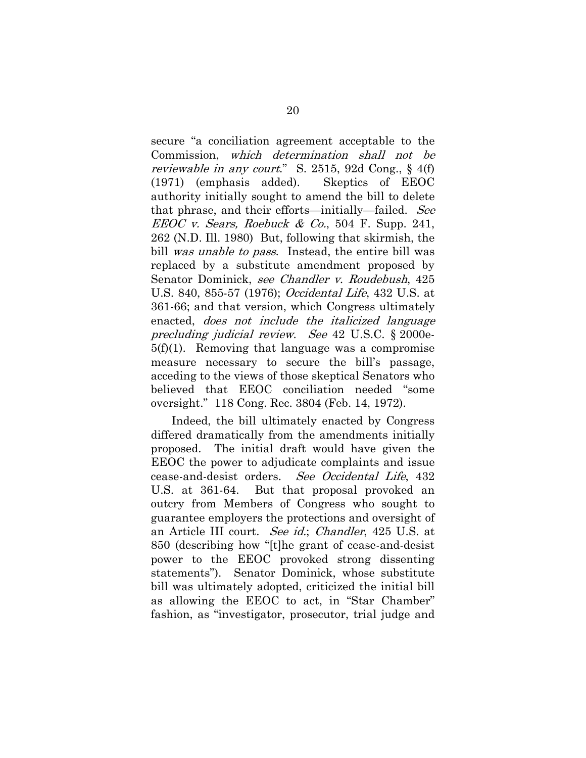<span id="page-26-4"></span><span id="page-26-1"></span><span id="page-26-0"></span>secure "a conciliation agreement acceptable to the Commission, which determination shall not be reviewable in any court." S. 2515, 92d Cong., § 4(f) (1971) (emphasis added). Skeptics of EEOC authority initially sought to amend the bill to delete that phrase, and their efforts—initially—failed. See EEOC v. Sears, Roebuck & Co., 504 F. Supp. 241, 262 (N.D. Ill. 1980) But, following that skirmish, the bill was unable to pass. Instead, the entire bill was replaced by a substitute amendment proposed by Senator Dominick, see Chandler v. Roudebush, 425 U.S. 840, 855-57 (1976); Occidental Life, 432 U.S. at 361-66; and that version, which Congress ultimately enacted, does not include the italicized language precluding judicial review. See 42 U.S.C. § 2000e-5(f)(1). Removing that language was a compromise measure necessary to secure the bill's passage, acceding to the views of those skeptical Senators who believed that EEOC conciliation needed "some oversight." 118 Cong. Rec. 3804 (Feb. 14, 1972).

<span id="page-26-3"></span><span id="page-26-2"></span>Indeed, the bill ultimately enacted by Congress differed dramatically from the amendments initially proposed. The initial draft would have given the EEOC the power to adjudicate complaints and issue cease-and-desist orders. See Occidental Life, 432 U.S. at 361-64. But that proposal provoked an outcry from Members of Congress who sought to guarantee employers the protections and oversight of an Article III court. See id.; Chandler, 425 U.S. at 850 (describing how "[t]he grant of cease-and-desist power to the EEOC provoked strong dissenting statements"). Senator Dominick, whose substitute bill was ultimately adopted, criticized the initial bill as allowing the EEOC to act, in "Star Chamber" fashion, as "investigator, prosecutor, trial judge and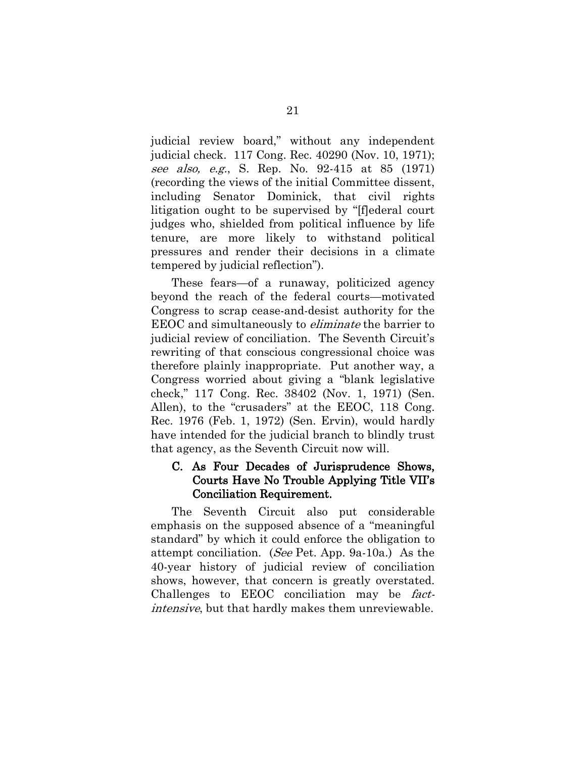<span id="page-27-3"></span><span id="page-27-1"></span>judicial review board," without any independent judicial check. 117 Cong. Rec. 40290 (Nov. 10, 1971); see also, e.g., S. Rep. No. 92-415 at 85 (1971) (recording the views of the initial Committee dissent, including Senator Dominick, that civil rights litigation ought to be supervised by "[f]ederal court judges who, shielded from political influence by life tenure, are more likely to withstand political pressures and render their decisions in a climate tempered by judicial reflection").

These fears—of a runaway, politicized agency beyond the reach of the federal courts—motivated Congress to scrap cease-and-desist authority for the EEOC and simultaneously to eliminate the barrier to judicial review of conciliation. The Seventh Circuit's rewriting of that conscious congressional choice was therefore plainly inappropriate. Put another way, a Congress worried about giving a "blank legislative check," 117 Cong. Rec. 38402 (Nov. 1, 1971) (Sen. Allen), to the "crusaders" at the EEOC, 118 Cong. Rec. 1976 (Feb. 1, 1972) (Sen. Ervin), would hardly have intended for the judicial branch to blindly trust that agency, as the Seventh Circuit now will.

#### <span id="page-27-2"></span><span id="page-27-0"></span>C. As Four Decades of Jurisprudence Shows, Courts Have No Trouble Applying Title VII's Conciliation Requirement.

The Seventh Circuit also put considerable emphasis on the supposed absence of a "meaningful standard" by which it could enforce the obligation to attempt conciliation. (See Pet. App. 9a-10a.) As the 40-year history of judicial review of conciliation shows, however, that concern is greatly overstated. Challenges to EEOC conciliation may be factintensive, but that hardly makes them unreviewable.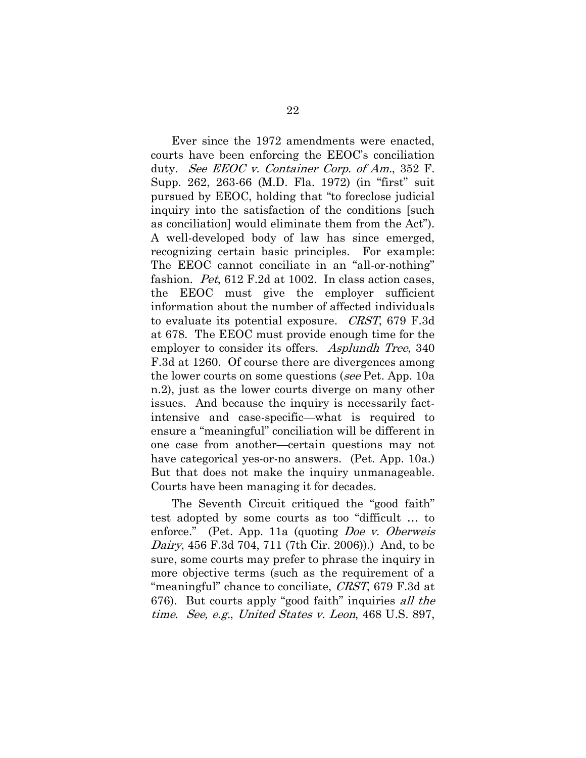<span id="page-28-3"></span><span id="page-28-2"></span><span id="page-28-1"></span>Ever since the 1972 amendments were enacted, courts have been enforcing the EEOC's conciliation duty. See EEOC v. Container Corp. of Am., 352 F. Supp. 262, 263-66 (M.D. Fla. 1972) (in "first" suit pursued by EEOC, holding that "to foreclose judicial inquiry into the satisfaction of the conditions [such as conciliation] would eliminate them from the Act"). A well-developed body of law has since emerged, recognizing certain basic principles. For example: The EEOC cannot conciliate in an "all-or-nothing" fashion. Pet, 612 F.2d at 1002. In class action cases, the EEOC must give the employer sufficient information about the number of affected individuals to evaluate its potential exposure. CRST, 679 F.3d at 678. The EEOC must provide enough time for the employer to consider its offers. Asplundh Tree, 340 F.3d at 1260. Of course there are divergences among the lower courts on some questions (see Pet. App. 10a n.2), just as the lower courts diverge on many other issues. And because the inquiry is necessarily factintensive and case-specific—what is required to ensure a "meaningful" conciliation will be different in one case from another—certain questions may not have categorical yes-or-no answers. (Pet. App. 10a.) But that does not make the inquiry unmanageable. Courts have been managing it for decades.

<span id="page-28-4"></span><span id="page-28-0"></span>The Seventh Circuit critiqued the "good faith" test adopted by some courts as too "difficult … to enforce." (Pet. App. 11a (quoting *Doe v. Oberweis* Dairy, 456 F.3d 704, 711 (7th Cir. 2006)).) And, to be sure, some courts may prefer to phrase the inquiry in more objective terms (such as the requirement of a "meaningful" chance to conciliate, *CRST*, 679 F.3d at 676). But courts apply "good faith" inquiries all the time. See, e.g., United States v. Leon, 468 U.S. 897,